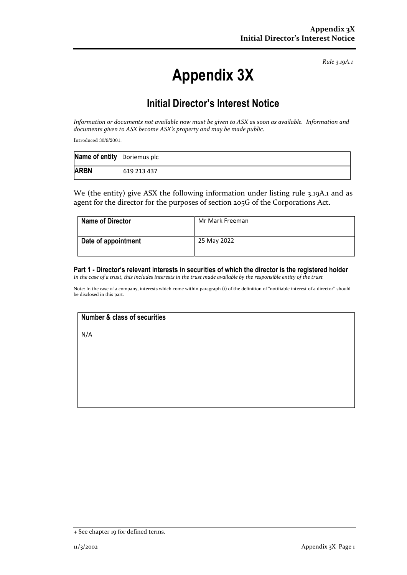*Rule 3.19A.1*

# **Appendix 3X**

## **Initial Director's Interest Notice**

*Information or documents not available now must be given to ASX as soon as available. Information and documents given to ASX become ASX's property and may be made public.*

Introduced 30/9/2001.

| Name of entity Doriemus plc |             |
|-----------------------------|-------------|
| <b>ARBN</b>                 | 619 213 437 |

We (the entity) give ASX the following information under listing rule 3.19A.1 and as agent for the director for the purposes of section 205G of the Corporations Act.

| <b>Name of Director</b> | Mr Mark Freeman |
|-------------------------|-----------------|
| Date of appointment     | 25 May 2022     |

### **Part 1 - Director's relevant interests in securities of which the director is the registered holder**

*In the case of a trust, this includes interests in the trust made available by the responsible entity of the trust*

Note: In the case of a company, interests which come within paragraph (i) of the definition of "notifiable interest of a director" should be disclosed in this part.

#### **Number & class of securities**

N/A

<sup>+</sup> See chapter 19 for defined terms.